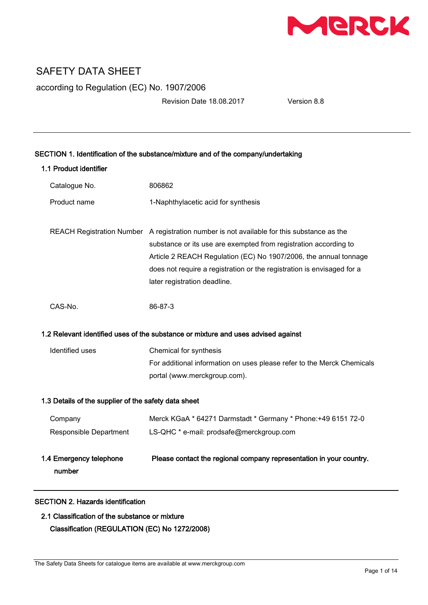

according to Regulation (EC) No. 1907/2006

Revision Date 18.08.2017 Version 8.8

| SECTION 1. Identification of the substance/mixture and of the company/undertaking |                                                                                                                                                                                                                                                                                                                                              |  |
|-----------------------------------------------------------------------------------|----------------------------------------------------------------------------------------------------------------------------------------------------------------------------------------------------------------------------------------------------------------------------------------------------------------------------------------------|--|
| 1.1 Product identifier                                                            |                                                                                                                                                                                                                                                                                                                                              |  |
| Catalogue No.                                                                     | 806862                                                                                                                                                                                                                                                                                                                                       |  |
| Product name                                                                      | 1-Naphthylacetic acid for synthesis                                                                                                                                                                                                                                                                                                          |  |
|                                                                                   | REACH Registration Number A registration number is not available for this substance as the<br>substance or its use are exempted from registration according to<br>Article 2 REACH Regulation (EC) No 1907/2006, the annual tonnage<br>does not require a registration or the registration is envisaged for a<br>later registration deadline. |  |
| CAS-No.                                                                           | 86-87-3                                                                                                                                                                                                                                                                                                                                      |  |
|                                                                                   | 1.2 Relevant identified uses of the substance or mixture and uses advised against                                                                                                                                                                                                                                                            |  |
| Identified uses                                                                   | Chemical for synthesis<br>For additional information on uses please refer to the Merck Chemicals                                                                                                                                                                                                                                             |  |
|                                                                                   | portal (www.merckgroup.com).                                                                                                                                                                                                                                                                                                                 |  |
| 1.3 Details of the supplier of the safety data sheet                              |                                                                                                                                                                                                                                                                                                                                              |  |
| Company                                                                           | Merck KGaA * 64271 Darmstadt * Germany * Phone: +49 6151 72-0                                                                                                                                                                                                                                                                                |  |
| Responsible Department                                                            | LS-QHC * e-mail: prodsafe@merckgroup.com                                                                                                                                                                                                                                                                                                     |  |
| 1.4 Emergency telephone<br>number                                                 | Please contact the regional company representation in your country.                                                                                                                                                                                                                                                                          |  |
| <b>SECTION 2. Hazards identification</b>                                          |                                                                                                                                                                                                                                                                                                                                              |  |

# 2.1 Classification of the substance or mixture Classification (REGULATION (EC) No 1272/2008)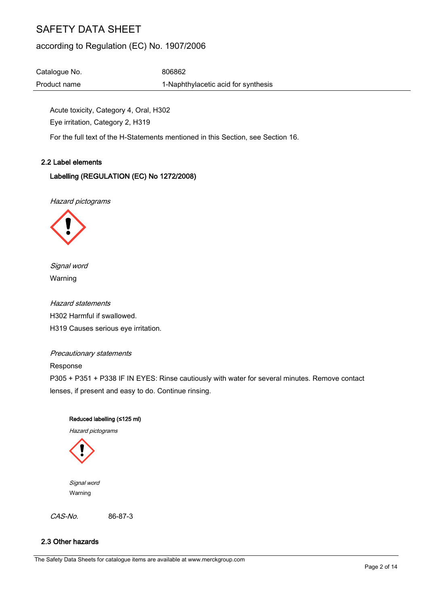# according to Regulation (EC) No. 1907/2006

Catalogue No. 6806862 Product name 1-Naphthylacetic acid for synthesis

Acute toxicity, Category 4, Oral, H302 Eye irritation, Category 2, H319

For the full text of the H-Statements mentioned in this Section, see Section 16.

#### 2.2 Label elements

### Labelling (REGULATION (EC) No 1272/2008)

Hazard pictograms



Signal word Warning

Hazard statements H302 Harmful if swallowed. H319 Causes serious eye irritation.

#### Precautionary statements

Response

P305 + P351 + P338 IF IN EYES: Rinse cautiously with water for several minutes. Remove contact lenses, if present and easy to do. Continue rinsing.

#### Reduced labelling (≤125 ml)

Hazard pictograms



 Signal word Warning

CAS-No. 86-87-3

### 2.3 Other hazards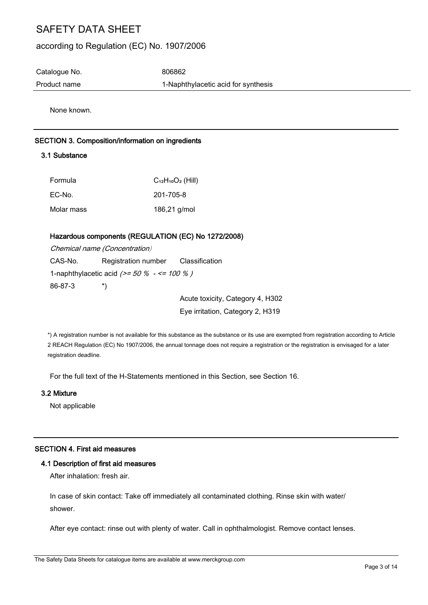## according to Regulation (EC) No. 1907/2006

Catalogue No. 6806862

Product name 1-Naphthylacetic acid for synthesis

None known.

### SECTION 3. Composition/information on ingredients

## 3.1 Substance

| Formula    | $C_{12}H_{10}O_2$ (Hill) |
|------------|--------------------------|
| EC-No.     | 201-705-8                |
| Molar mass | 186,21 g/mol             |

### Hazardous components (REGULATION (EC) No 1272/2008)

|         | Chemical name (Concentration)                |  |
|---------|----------------------------------------------|--|
| CAS-No. | Registration number Classification           |  |
|         | 1-naphthylacetic acid $(>= 50\% - <= 100\%)$ |  |
| 86-87-3 | $\mathbf{r}$                                 |  |
|         |                                              |  |

Acute toxicity, Category 4, H302 Eye irritation, Category 2, H319

\*) A registration number is not available for this substance as the substance or its use are exempted from registration according to Article 2 REACH Regulation (EC) No 1907/2006, the annual tonnage does not require a registration or the registration is envisaged for a later registration deadline.

For the full text of the H-Statements mentioned in this Section, see Section 16.

#### 3.2 Mixture

Not applicable

#### SECTION 4. First aid measures

#### 4.1 Description of first aid measures

After inhalation: fresh air.

In case of skin contact: Take off immediately all contaminated clothing. Rinse skin with water/ shower.

After eye contact: rinse out with plenty of water. Call in ophthalmologist. Remove contact lenses.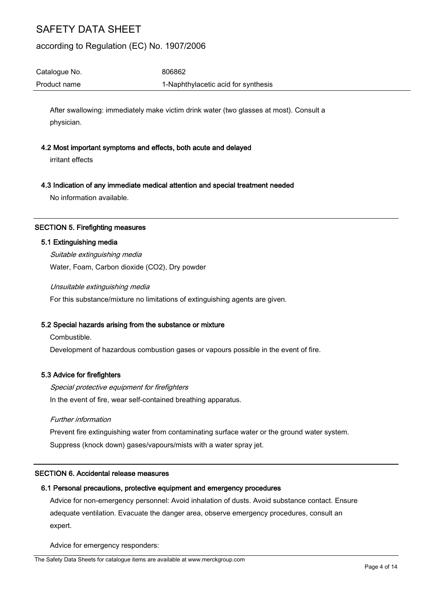## according to Regulation (EC) No. 1907/2006

Catalogue No. 6806862 Product name 1-Naphthylacetic acid for synthesis

After swallowing: immediately make victim drink water (two glasses at most). Consult a physician.

#### 4.2 Most important symptoms and effects, both acute and delayed

irritant effects

#### 4.3 Indication of any immediate medical attention and special treatment needed

No information available.

#### SECTION 5. Firefighting measures

#### 5.1 Extinguishing media

Suitable extinguishing media Water, Foam, Carbon dioxide (CO2), Dry powder

Unsuitable extinguishing media

For this substance/mixture no limitations of extinguishing agents are given.

#### 5.2 Special hazards arising from the substance or mixture

Combustible.

Development of hazardous combustion gases or vapours possible in the event of fire.

#### 5.3 Advice for firefighters

Special protective equipment for firefighters In the event of fire, wear self-contained breathing apparatus.

#### Further information

Prevent fire extinguishing water from contaminating surface water or the ground water system. Suppress (knock down) gases/vapours/mists with a water spray jet.

#### SECTION 6. Accidental release measures

#### 6.1 Personal precautions, protective equipment and emergency procedures

Advice for non-emergency personnel: Avoid inhalation of dusts. Avoid substance contact. Ensure adequate ventilation. Evacuate the danger area, observe emergency procedures, consult an expert.

Advice for emergency responders: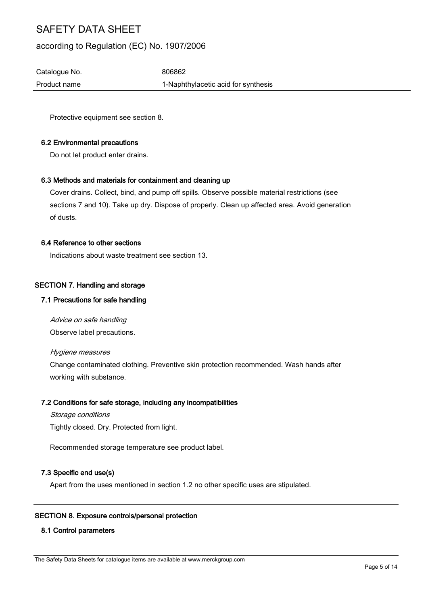## according to Regulation (EC) No. 1907/2006

Catalogue No. 6806862 Product name 1-Naphthylacetic acid for synthesis

Protective equipment see section 8.

#### 6.2 Environmental precautions

Do not let product enter drains.

#### 6.3 Methods and materials for containment and cleaning up

Cover drains. Collect, bind, and pump off spills. Observe possible material restrictions (see sections 7 and 10). Take up dry. Dispose of properly. Clean up affected area. Avoid generation of dusts.

#### 6.4 Reference to other sections

Indications about waste treatment see section 13.

#### SECTION 7. Handling and storage

#### 7.1 Precautions for safe handling

Advice on safe handling Observe label precautions.

Hygiene measures

Change contaminated clothing. Preventive skin protection recommended. Wash hands after working with substance.

#### 7.2 Conditions for safe storage, including any incompatibilities

Storage conditions Tightly closed. Dry. Protected from light.

Recommended storage temperature see product label.

## 7.3 Specific end use(s)

Apart from the uses mentioned in section 1.2 no other specific uses are stipulated.

#### SECTION 8. Exposure controls/personal protection

#### 8.1 Control parameters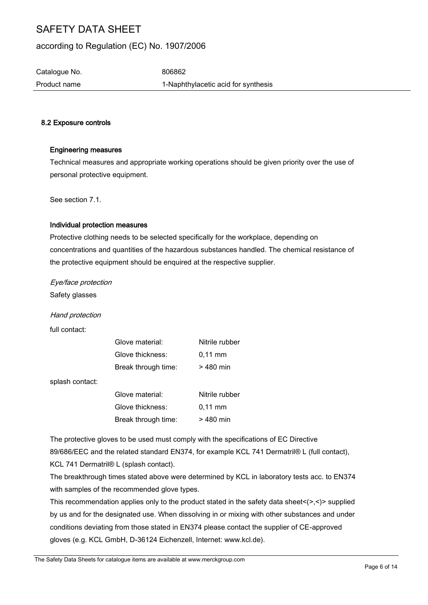## according to Regulation (EC) No. 1907/2006

Catalogue No. 6806862

Product name 1-Naphthylacetic acid for synthesis

### 8.2 Exposure controls

### Engineering measures

Technical measures and appropriate working operations should be given priority over the use of personal protective equipment.

See section 7.1.

#### Individual protection measures

Protective clothing needs to be selected specifically for the workplace, depending on concentrations and quantities of the hazardous substances handled. The chemical resistance of the protective equipment should be enquired at the respective supplier.

Eye/face protection

Safety glasses

Hand protection

full contact:

| Glove material:     | Nitrile rubber    |
|---------------------|-------------------|
| Glove thickness:    | $0.11 \text{ mm}$ |
| Break through time: | $>480$ min        |

splash contact:

| Glove material:     | Nitrile rubber    |
|---------------------|-------------------|
| Glove thickness:    | $0.11 \text{ mm}$ |
| Break through time: | $>480$ min        |

The protective gloves to be used must comply with the specifications of EC Directive 89/686/EEC and the related standard EN374, for example KCL 741 Dermatril® L (full contact), KCL 741 Dermatril® L (splash contact).

The breakthrough times stated above were determined by KCL in laboratory tests acc. to EN374 with samples of the recommended glove types.

This recommendation applies only to the product stated in the safety data sheet $\langle \rangle$ , $\langle \rangle$  supplied by us and for the designated use. When dissolving in or mixing with other substances and under conditions deviating from those stated in EN374 please contact the supplier of CE-approved gloves (e.g. KCL GmbH, D-36124 Eichenzell, Internet: www.kcl.de).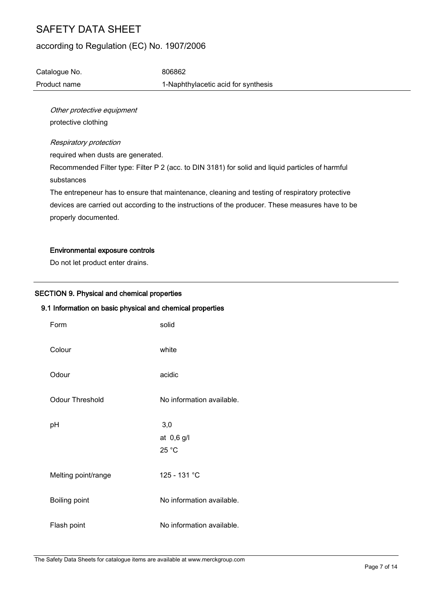## according to Regulation (EC) No. 1907/2006

Catalogue No. 6806862 Product name 1-Naphthylacetic acid for synthesis

Other protective equipment protective clothing

#### Respiratory protection

required when dusts are generated.

Recommended Filter type: Filter P 2 (acc. to DIN 3181) for solid and liquid particles of harmful substances

The entrepeneur has to ensure that maintenance, cleaning and testing of respiratory protective devices are carried out according to the instructions of the producer. These measures have to be properly documented.

#### Environmental exposure controls

Do not let product enter drains.

### SECTION 9. Physical and chemical properties

#### 9.1 Information on basic physical and chemical properties

| Form                   | solid                      |
|------------------------|----------------------------|
| Colour                 | white                      |
| Odour                  | acidic                     |
| <b>Odour Threshold</b> | No information available.  |
| рH                     | 3,0<br>at 0,6 g/l<br>25 °C |
| Melting point/range    | 125 - 131 °C               |
| Boiling point          | No information available.  |
| Flash point            | No information available.  |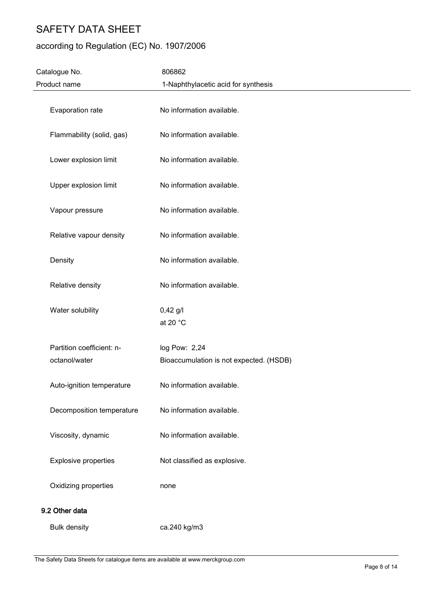# according to Regulation (EC) No. 1907/2006

| Catalogue No.               | 806862                                  |  |
|-----------------------------|-----------------------------------------|--|
| Product name                | 1-Naphthylacetic acid for synthesis     |  |
| Evaporation rate            | No information available.               |  |
| Flammability (solid, gas)   | No information available.               |  |
| Lower explosion limit       | No information available.               |  |
| Upper explosion limit       | No information available.               |  |
| Vapour pressure             | No information available.               |  |
| Relative vapour density     | No information available.               |  |
| Density                     | No information available.               |  |
| Relative density            | No information available.               |  |
| Water solubility            | $0,42$ g/l<br>at 20 °C                  |  |
| Partition coefficient: n-   | log Pow: 2,24                           |  |
| octanol/water               | Bioaccumulation is not expected. (HSDB) |  |
| Auto-ignition temperature   | No information available.               |  |
| Decomposition temperature   | No information available.               |  |
| Viscosity, dynamic          | No information available.               |  |
| <b>Explosive properties</b> | Not classified as explosive.            |  |
| Oxidizing properties        | none                                    |  |
| 9.2 Other data              |                                         |  |
| <b>Bulk density</b>         | ca.240 kg/m3                            |  |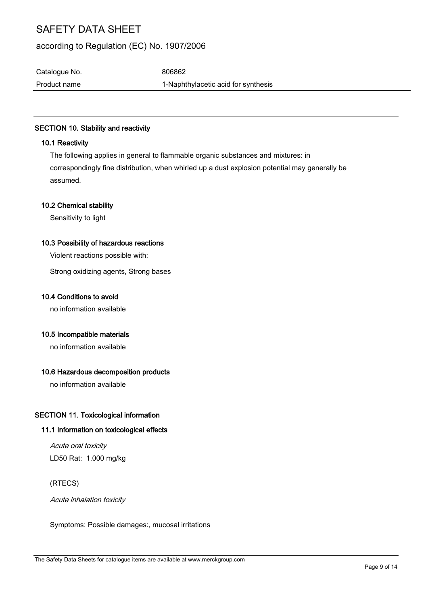## according to Regulation (EC) No. 1907/2006

Catalogue No. 6806862

Product name 1-Naphthylacetic acid for synthesis

## SECTION 10. Stability and reactivity

### 10.1 Reactivity

The following applies in general to flammable organic substances and mixtures: in correspondingly fine distribution, when whirled up a dust explosion potential may generally be assumed.

### 10.2 Chemical stability

Sensitivity to light

#### 10.3 Possibility of hazardous reactions

Violent reactions possible with:

Strong oxidizing agents, Strong bases

### 10.4 Conditions to avoid

no information available

### 10.5 Incompatible materials

no information available

### 10.6 Hazardous decomposition products

no information available

### SECTION 11. Toxicological information

#### 11.1 Information on toxicological effects

Acute oral toxicity LD50 Rat: 1.000 mg/kg

(RTECS)

Acute inhalation toxicity

Symptoms: Possible damages:, mucosal irritations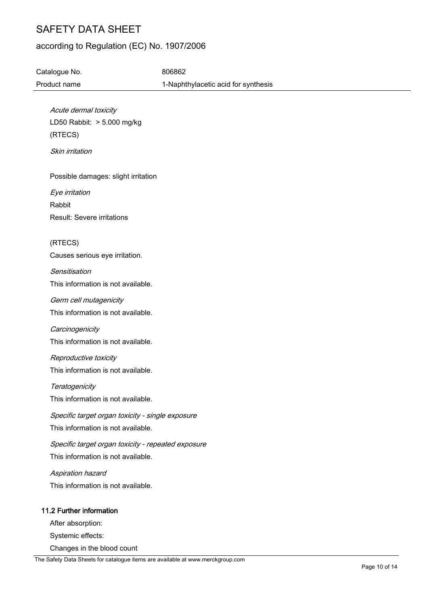## according to Regulation (EC) No. 1907/2006

Catalogue No. 6806862 Product name 1-Naphthylacetic acid for synthesis

Acute dermal toxicity LD50 Rabbit: > 5.000 mg/kg (RTECS)

Skin irritation

Possible damages: slight irritation

Eye irritation Rabbit Result: Severe irritations

(RTECS) Causes serious eye irritation.

**Sensitisation** This information is not available.

Germ cell mutagenicity This information is not available.

**Carcinogenicity** This information is not available.

Reproductive toxicity This information is not available.

**Teratogenicity** 

This information is not available.

Specific target organ toxicity - single exposure This information is not available.

Specific target organ toxicity - repeated exposure This information is not available.

Aspiration hazard This information is not available.

## 11.2 Further information

After absorption:

Systemic effects:

Changes in the blood count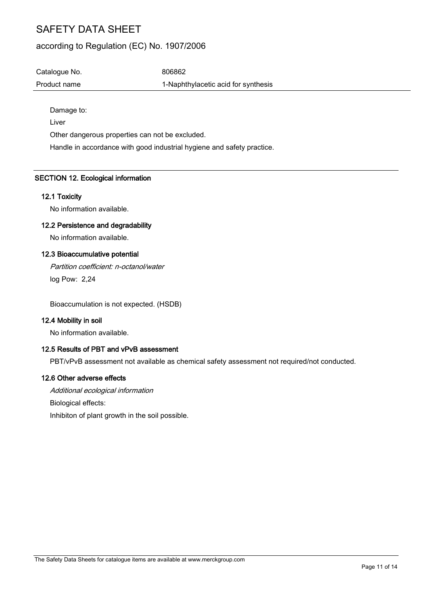## according to Regulation (EC) No. 1907/2006

Catalogue No. 6806862 Product name 1-Naphthylacetic acid for synthesis

Damage to:

Liver

Other dangerous properties can not be excluded.

Handle in accordance with good industrial hygiene and safety practice.

## SECTION 12. Ecological information

#### 12.1 Toxicity

No information available.

#### 12.2 Persistence and degradability

No information available.

#### 12.3 Bioaccumulative potential

Partition coefficient: n-octanol/water log Pow: 2,24

Bioaccumulation is not expected. (HSDB)

### 12.4 Mobility in soil

No information available.

#### 12.5 Results of PBT and vPvB assessment

PBT/vPvB assessment not available as chemical safety assessment not required/not conducted.

#### 12.6 Other adverse effects

Additional ecological information Biological effects: Inhibiton of plant growth in the soil possible.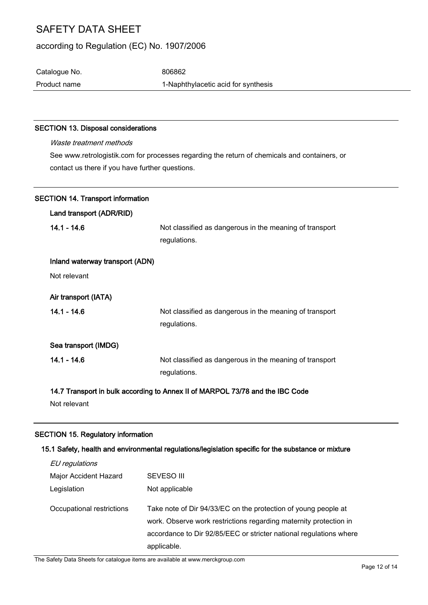## according to Regulation (EC) No. 1907/2006

Catalogue No. 6806862 Product name 1-Naphthylacetic acid for synthesis

#### SECTION 13. Disposal considerations

| <i>Waste treatment methods</i>                                                                                                                  |                                                         |  |
|-------------------------------------------------------------------------------------------------------------------------------------------------|---------------------------------------------------------|--|
| See www.retrologistik.com for processes regarding the return of chemicals and containers, or<br>contact us there if you have further questions. |                                                         |  |
| <b>SECTION 14. Transport information</b>                                                                                                        |                                                         |  |
| Land transport (ADR/RID)                                                                                                                        |                                                         |  |
| 14.1 - 14.6                                                                                                                                     | Not classified as dangerous in the meaning of transport |  |

regulations.

| Inland waterway transport (ADN) |                                                         |
|---------------------------------|---------------------------------------------------------|
| Not relevant                    |                                                         |
| Air transport (IATA)            |                                                         |
| $14.1 - 14.6$                   | Not classified as dangerous in the meaning of transport |
|                                 | regulations.                                            |
| Sea transport (IMDG)            |                                                         |
| $14.1 - 14.6$                   | Not classified as dangerous in the meaning of transport |
|                                 | regulations.                                            |
|                                 |                                                         |

14.7 Transport in bulk according to Annex II of MARPOL 73/78 and the IBC Code

Not relevant

#### SECTION 15. Regulatory information

## 15.1 Safety, health and environmental regulations/legislation specific for the substance or mixture

| EU regulations            |                                                                                                                                                                                                                          |
|---------------------------|--------------------------------------------------------------------------------------------------------------------------------------------------------------------------------------------------------------------------|
| Major Accident Hazard     | SEVESO III                                                                                                                                                                                                               |
| Legislation               | Not applicable                                                                                                                                                                                                           |
| Occupational restrictions | Take note of Dir 94/33/EC on the protection of young people at<br>work. Observe work restrictions regarding maternity protection in<br>accordance to Dir 92/85/EEC or stricter national regulations where<br>applicable. |

The Safety Data Sheets for catalogue items are available at www.merckgroup.com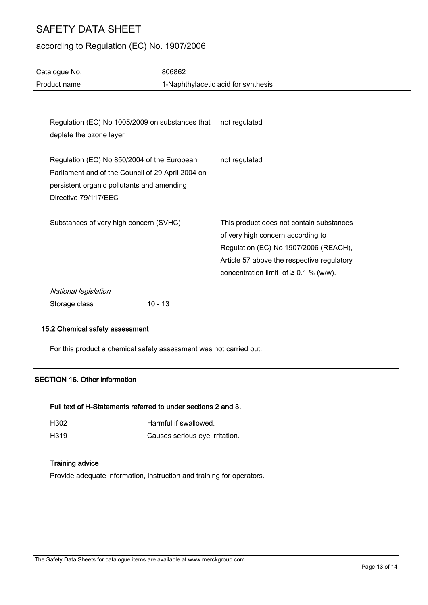j.

# according to Regulation (EC) No. 1907/2006

| Catalogue No.                                                                                                                                                          | 806862    |                                                                                                                                                                                                                    |
|------------------------------------------------------------------------------------------------------------------------------------------------------------------------|-----------|--------------------------------------------------------------------------------------------------------------------------------------------------------------------------------------------------------------------|
| Product name                                                                                                                                                           |           | 1-Naphthylacetic acid for synthesis                                                                                                                                                                                |
|                                                                                                                                                                        |           |                                                                                                                                                                                                                    |
| Regulation (EC) No 1005/2009 on substances that<br>deplete the ozone layer                                                                                             |           | not regulated                                                                                                                                                                                                      |
| Regulation (EC) No 850/2004 of the European<br>Parliament and of the Council of 29 April 2004 on<br>persistent organic pollutants and amending<br>Directive 79/117/EEC |           | not regulated                                                                                                                                                                                                      |
| Substances of very high concern (SVHC)                                                                                                                                 |           | This product does not contain substances<br>of very high concern according to<br>Regulation (EC) No 1907/2006 (REACH),<br>Article 57 above the respective regulatory<br>concentration limit of $\geq$ 0.1 % (w/w). |
| National legislation<br>Storage class                                                                                                                                  | $10 - 13$ |                                                                                                                                                                                                                    |
|                                                                                                                                                                        |           |                                                                                                                                                                                                                    |

#### 15.2 Chemical safety assessment

For this product a chemical safety assessment was not carried out.

## SECTION 16. Other information

## Full text of H-Statements referred to under sections 2 and 3.

| H302 | Harmful if swallowed.          |
|------|--------------------------------|
| H319 | Causes serious eye irritation. |

#### Training advice

Provide adequate information, instruction and training for operators.